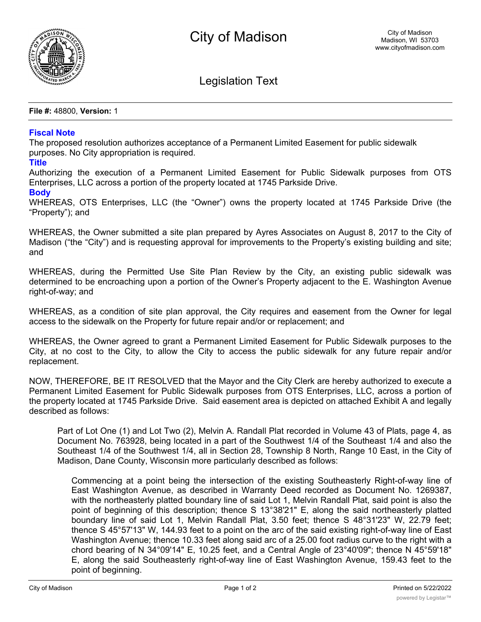

Legislation Text

**File #:** 48800, **Version:** 1

## **Fiscal Note**

The proposed resolution authorizes acceptance of a Permanent Limited Easement for public sidewalk purposes. No City appropriation is required.

## **Title**

Authorizing the execution of a Permanent Limited Easement for Public Sidewalk purposes from OTS Enterprises, LLC across a portion of the property located at 1745 Parkside Drive.

## **Body**

WHEREAS, OTS Enterprises, LLC (the "Owner") owns the property located at 1745 Parkside Drive (the "Property"); and

WHEREAS, the Owner submitted a site plan prepared by Ayres Associates on August 8, 2017 to the City of Madison ("the "City") and is requesting approval for improvements to the Property's existing building and site; and

WHEREAS, during the Permitted Use Site Plan Review by the City, an existing public sidewalk was determined to be encroaching upon a portion of the Owner's Property adjacent to the E. Washington Avenue right-of-way; and

WHEREAS, as a condition of site plan approval, the City requires and easement from the Owner for legal access to the sidewalk on the Property for future repair and/or or replacement; and

WHEREAS, the Owner agreed to grant a Permanent Limited Easement for Public Sidewalk purposes to the City, at no cost to the City, to allow the City to access the public sidewalk for any future repair and/or replacement.

NOW, THEREFORE, BE IT RESOLVED that the Mayor and the City Clerk are hereby authorized to execute a Permanent Limited Easement for Public Sidewalk purposes from OTS Enterprises, LLC, across a portion of the property located at 1745 Parkside Drive. Said easement area is depicted on attached Exhibit A and legally described as follows:

Part of Lot One (1) and Lot Two (2), Melvin A. Randall Plat recorded in Volume 43 of Plats, page 4, as Document No. 763928, being located in a part of the Southwest 1/4 of the Southeast 1/4 and also the Southeast 1/4 of the Southwest 1/4, all in Section 28, Township 8 North, Range 10 East, in the City of Madison, Dane County, Wisconsin more particularly described as follows:

Commencing at a point being the intersection of the existing Southeasterly Right-of-way line of East Washington Avenue, as described in Warranty Deed recorded as Document No. 1269387, with the northeasterly platted boundary line of said Lot 1, Melvin Randall Plat, said point is also the point of beginning of this description; thence S 13°38'21" E, along the said northeasterly platted boundary line of said Lot 1, Melvin Randall Plat, 3.50 feet; thence S 48°31'23" W, 22.79 feet; thence S 45°57'13" W, 144.93 feet to a point on the arc of the said existing right-of-way line of East Washington Avenue; thence 10.33 feet along said arc of a 25.00 foot radius curve to the right with a chord bearing of N 34°09'14" E, 10.25 feet, and a Central Angle of 23°40'09"; thence N 45°59'18" E, along the said Southeasterly right-of-way line of East Washington Avenue, 159.43 feet to the point of beginning.